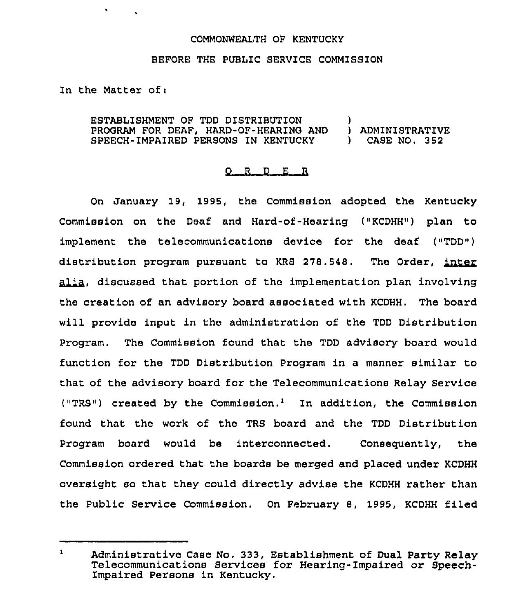## COMMONWEALTH OF KENTUCKY

## BEFORE THE PUBLIC SERVICE COMMISSION

In the Matter of:

 $\mathbf{v} = \mathbf{v} \times \mathbf{v}$ 

ESTABLISHMENT OF TDD DISTRIBUTION (2008)<br>PROGRAM FOR DEAF, HARD-OF-HEARING AND (2008) ADMINISTRATIVE PROGRAM FOR DEAF, HARD-OF-HEAR1NG AND ) ADMINISTRATIVE SPEECH-IMPAIRED PERSONS IN KENTUCKY

## 0 <sup>R</sup> <sup>D</sup> E R

On January 19, 1995, the Commission adopted the Kentucky Commission on the Deaf and Hard-of-Hearing ("KCDHH") plan to implement the telecommunications device for the deaf ("TDD") distribution program pursuant to KRS 278.548. The Order, inter alia, discussed that portion of the implementation plan involving the creation of an advisory board associated with KCDHH. The board will provide input in the administration of the TDD Distribution Program. The Commission found that the TDD advisory board would function for the TDD Distribution Program in a manner similar to that of the advisory board for the Telecommunications Relay Service ("TRS") created by the Commission.<sup>1</sup> In addition, the Commission found that the work of the TRS board and the TDD Distribution Program board would be interconnected. Consequently, the Commission ordered that the boards be merged and placed under KCDHH oversight so that they could directly advise the KCDHH rather than the Public Service Commission. On February 8, 1995, KCDHH filed

 $\mathbf{1}$ Administrative Case No. 333, Establishment of Dual Party Relay Telecommunications Services for Hearing-Impaired or Speech-Impaired Persons in Kentucky.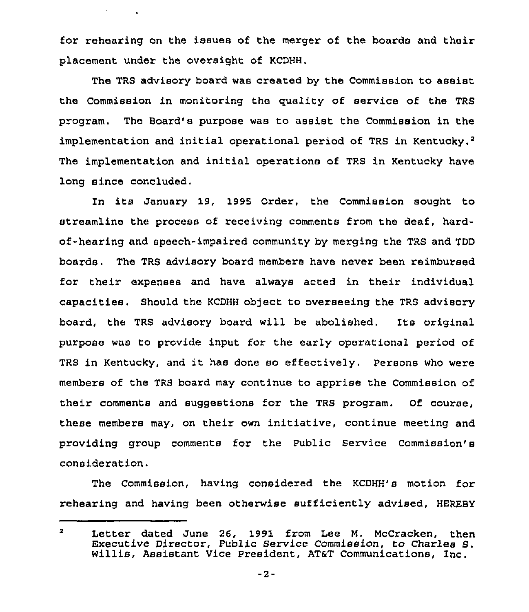for rehearing on the issues of the merger of the boards and their placement under the oversight of KCDHH.

**Service State** 

The TRS advisory board was created by the Commission to assist the Commission in monitoring the quality of service of the TRS program. The Board's purpose was to assist the Commission in the implementation and initial operational period of TRS in Kentucky.<sup>2</sup> The implementation and initial operations of TRS in Kentucky have long since concluded.

In its January 19, 1995 Order, the Commission sought to streamline the process of receiving comments from the deaf, hardof-hearing and speech-impaired community by mexging the TRS and TDD boards. The TRS advisory board members have never been reimbuxsed for their expenses and have always acted in their individual capacities. Should the KCDHH ob)ect to overseeing the TRS advisory board, the TRS advisory boaxd will be abolished. Its original purpose was to provide input for the early operational period of TRS in Kentucky, and it has done so effectively. Persons who wexe members of the TRS board may continue to apprise the Commission of their comments and suggestions for the TRS program. Of couxse, these members may, on their own initiative, continue meeting and providing group comments for the Public Service Commission's consideration.

The Commission, having considered the KCDHH's motion for rehearing and having been otherwise sufficiently advised, HEREBY

 $\overline{\mathbf{a}}$ Letter dated June 26, 1991 from Lee M. McCracken, then Executive Director, Public Service Commission, to Charles S.<br>Willis, Assistant Vice President, AT&T Communications, Inc.